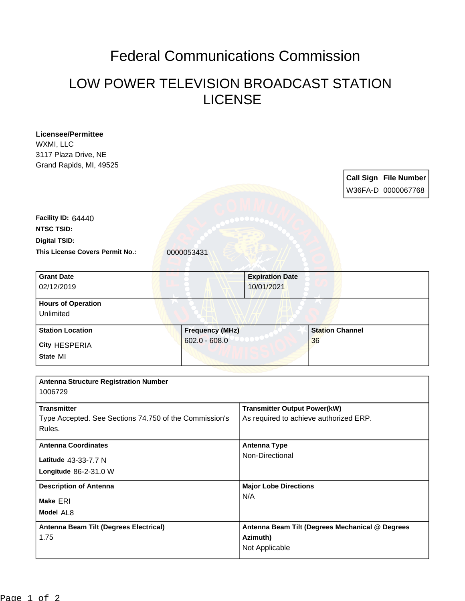## Federal Communications Commission

## LOW POWER TELEVISION BROADCAST STATION LICENSE

| <b>Licensee/Permittee</b>                              |                                           |                                                 |                              |  |                              |
|--------------------------------------------------------|-------------------------------------------|-------------------------------------------------|------------------------------|--|------------------------------|
| WXMI, LLC                                              |                                           |                                                 |                              |  |                              |
| 3117 Plaza Drive, NE                                   |                                           |                                                 |                              |  |                              |
| Grand Rapids, MI, 49525                                |                                           |                                                 |                              |  |                              |
|                                                        |                                           |                                                 |                              |  | <b>Call Sign File Number</b> |
|                                                        |                                           |                                                 |                              |  | W36FA-D 0000067768           |
|                                                        |                                           |                                                 |                              |  |                              |
| Facility ID: 64440                                     |                                           |                                                 |                              |  |                              |
| <b>NTSC TSID:</b>                                      |                                           |                                                 |                              |  |                              |
| <b>Digital TSID:</b>                                   |                                           |                                                 |                              |  |                              |
| <b>This License Covers Permit No.:</b>                 |                                           |                                                 |                              |  |                              |
|                                                        | 0000053431                                |                                                 |                              |  |                              |
| <b>Grant Date</b>                                      |                                           | <b>Expiration Date</b>                          |                              |  |                              |
| 02/12/2019                                             |                                           | 10/01/2021                                      |                              |  |                              |
| <b>Hours of Operation</b>                              |                                           |                                                 |                              |  |                              |
| Unlimited                                              |                                           |                                                 |                              |  |                              |
| <b>Station Location</b>                                | <b>Frequency (MHz)</b><br>$602.0 - 608.0$ |                                                 | <b>Station Channel</b><br>36 |  |                              |
| City HESPERIA                                          |                                           |                                                 |                              |  |                              |
| State MI                                               |                                           |                                                 |                              |  |                              |
|                                                        |                                           |                                                 |                              |  |                              |
| <b>Antenna Structure Registration Number</b>           |                                           |                                                 |                              |  |                              |
| 1006729                                                |                                           |                                                 |                              |  |                              |
| <b>Transmitter</b>                                     |                                           | <b>Transmitter Output Power(kW)</b>             |                              |  |                              |
| Type Accepted. See Sections 74.750 of the Commission's |                                           | As required to achieve authorized ERP.          |                              |  |                              |
| Rules.                                                 |                                           |                                                 |                              |  |                              |
| <b>Antenna Coordinates</b>                             |                                           | <b>Antenna Type</b>                             |                              |  |                              |
| Latitude 43-33-7.7 N                                   |                                           | Non-Directional                                 |                              |  |                              |
| Longitude 86-2-31.0 W                                  |                                           |                                                 |                              |  |                              |
|                                                        |                                           |                                                 |                              |  |                              |
| <b>Description of Antenna</b><br>Make ERI              |                                           | <b>Major Lobe Directions</b>                    |                              |  |                              |
|                                                        |                                           | N/A                                             |                              |  |                              |
| Model AL8                                              |                                           |                                                 |                              |  |                              |
| Antenna Beam Tilt (Degrees Electrical)                 |                                           | Antenna Beam Tilt (Degrees Mechanical @ Degrees |                              |  |                              |
| 1.75                                                   |                                           | Azimuth)<br>Not Applicable                      |                              |  |                              |
|                                                        |                                           |                                                 |                              |  |                              |